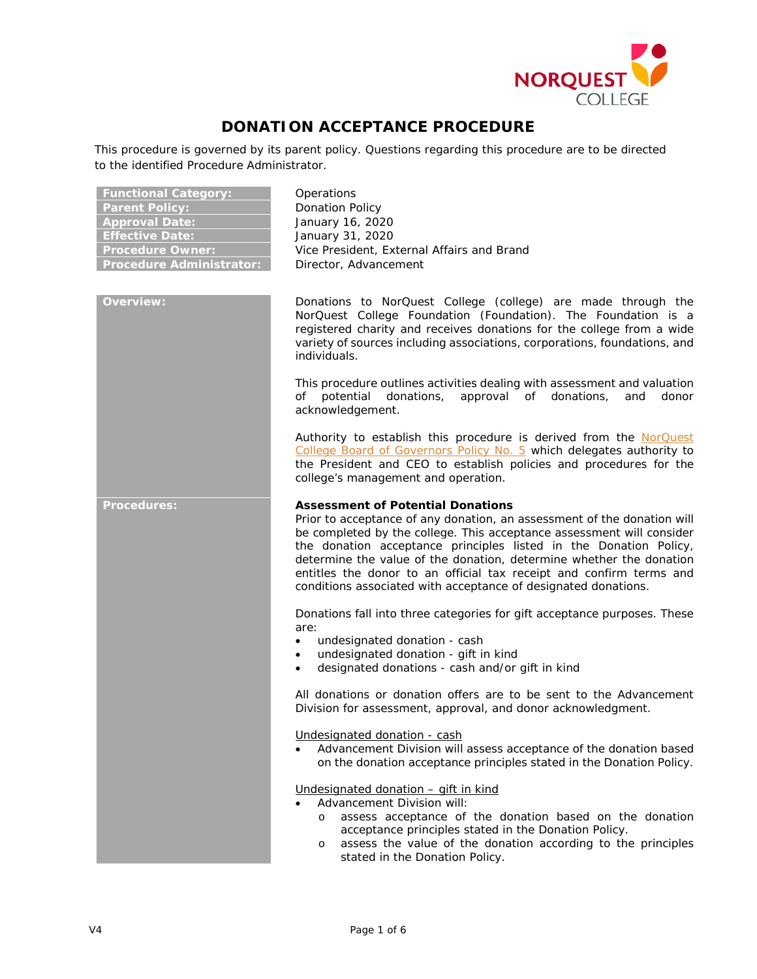

# **DONATION ACCEPTANCE PROCEDURE**

This procedure is governed by its parent policy. Questions regarding this procedure are to be directed to the identified Procedure Administrator.

**Functional Category:** Operations

| <b>Functional Category:</b>     |
|---------------------------------|
| <b>Parent Policy:</b>           |
| <b>Approval Date:</b>           |
| <b>Effective Date:</b>          |
| <b>Procedure Owner:</b>         |
| <b>Procedure Administrator:</b> |

**Ponation Policy Approval Date:** January 16, 2020 **Effective Date:** January 31, 2020 Vice President, External Affairs and Brand **Pirector, Advancement** 

**Overview:** Donations to NorQuest College (college) are made through the NorQuest College Foundation (Foundation). The Foundation is a registered charity and receives donations for the college from a wide variety of sources including associations, corporations, foundations, and individuals.

> This procedure outlines activities dealing with assessment and valuation of potential donations, approval of donations, and donor acknowledgement.

> Authority to establish this procedure is derived from the [NorQuest](https://www.norquest.ca/NorquestCollege/media/pdf/about-us/board/policies-procedures/05-Board-Policy_Delegate_authority_to_President.pdf)  [College Board of Governors Policy No. 5](https://www.norquest.ca/NorquestCollege/media/pdf/about-us/board/policies-procedures/05-Board-Policy_Delegate_authority_to_President.pdf) which delegates authority to the President and CEO to establish policies and procedures for the college's management and operation.

# **Procedures: Assessment of Potential Donations**

Prior to acceptance of any donation, an assessment of the donation will be completed by the college. This acceptance assessment will consider the donation acceptance principles listed in the Donation Policy, determine the value of the donation, determine whether the donation entitles the donor to an official tax receipt and confirm terms and conditions associated with acceptance of designated donations.

Donations fall into three categories for gift acceptance purposes. These are:

- undesignated donation cash
- undesignated donation gift in kind
- designated donations cash and/or gift in kind

All donations or donation offers are to be sent to the Advancement Division for assessment, approval, and donor acknowledgment.

Undesignated donation - cash

• Advancement Division will assess acceptance of the donation based on the donation acceptance principles stated in the Donation Policy.

Undesignated donation – gift in kind

- Advancement Division will:
	- o assess acceptance of the donation based on the donation acceptance principles stated in the Donation Policy.
	- o assess the value of the donation according to the principles stated in the Donation Policy.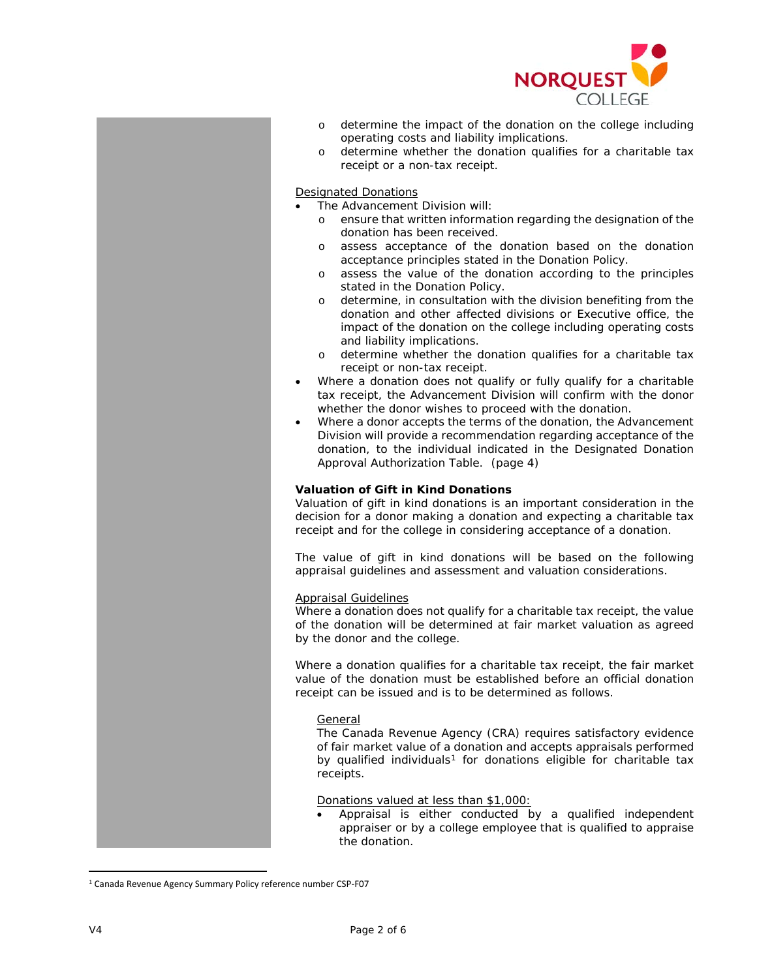

- o determine the impact of the donation on the college including operating costs and liability implications.
- o determine whether the donation qualifies for a charitable tax receipt or a non-tax receipt.

#### Designated Donations

- The Advancement Division will:
	- o ensure that written information regarding the designation of the donation has been received.
	- o assess acceptance of the donation based on the donation acceptance principles stated in the Donation Policy.
	- o assess the value of the donation according to the principles stated in the Donation Policy.
	- o determine, in consultation with the division benefiting from the donation and other affected divisions or Executive office, the impact of the donation on the college including operating costs and liability implications.
	- o determine whether the donation qualifies for a charitable tax receipt or non-tax receipt.
- Where a donation does not qualify or fully qualify for a charitable tax receipt, the Advancement Division will confirm with the donor whether the donor wishes to proceed with the donation.
- Where a donor accepts the terms of the donation, the Advancement Division will provide a recommendation regarding acceptance of the donation, to the individual indicated in the Designated Donation Approval Authorization Table. (page 4)

## **Valuation of Gift in Kind Donations**

Valuation of gift in kind donations is an important consideration in the decision for a donor making a donation and expecting a charitable tax receipt and for the college in considering acceptance of a donation.

The value of gift in kind donations will be based on the following appraisal guidelines and assessment and valuation considerations.

#### Appraisal Guidelines

Where a donation does not qualify for a charitable tax receipt, the value of the donation will be determined at fair market valuation as agreed by the donor and the college.

Where a donation qualifies for a charitable tax receipt, the fair market value of the donation must be established before an official donation receipt can be issued and is to be determined as follows.

#### *General*

The Canada Revenue Agency (CRA) requires satisfactory evidence of fair market value of a donation and accepts appraisals performed by qualified individuals<sup>[1](#page-1-0)</sup> for donations eligible for charitable tax receipts.

#### *Donations valued at less than \$1,000*:

• Appraisal is either conducted by a qualified independent appraiser or by a college employee that is qualified to appraise the donation.

<span id="page-1-0"></span><sup>&</sup>lt;sup>1</sup> Canada Revenue Agency Summary Policy reference number CSP-F07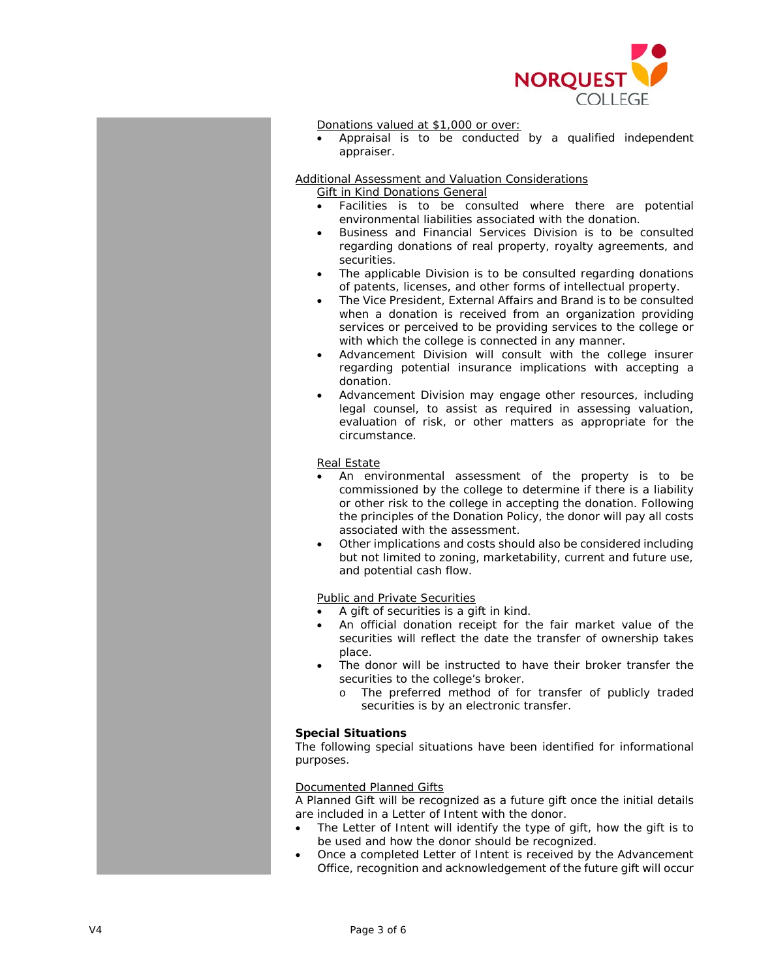

#### *Donations valued at \$1,000 or over*:

• Appraisal is to be conducted by a qualified independent appraiser.

# Additional Assessment and Valuation Considerations

## *Gift in Kind Donations General*

- Facilities is to be consulted where there are potential environmental liabilities associated with the donation.
- Business and Financial Services Division is to be consulted regarding donations of real property, royalty agreements, and securities.
- The applicable Division is to be consulted regarding donations of patents, licenses, and other forms of intellectual property.
- The Vice President, External Affairs and Brand is to be consulted when a donation is received from an organization providing services or perceived to be providing services to the college or with which the college is connected in any manner.
- Advancement Division will consult with the college insurer regarding potential insurance implications with accepting a donation.
- Advancement Division may engage other resources, including legal counsel, to assist as required in assessing valuation, evaluation of risk, or other matters as appropriate for the circumstance.

## *Real Estate*

- An environmental assessment of the property is to be commissioned by the college to determine if there is a liability or other risk to the college in accepting the donation. Following the principles of the Donation Policy, the donor will pay all costs associated with the assessment.
- Other implications and costs should also be considered including but not limited to zoning, marketability, current and future use, and potential cash flow.

## *Public and Private Securities*

- A gift of securities is a gift in kind.
- An official donation receipt for the fair market value of the securities will reflect the date the transfer of ownership takes place.
- The donor will be instructed to have their broker transfer the securities to the college's broker.
	- o The preferred method of for transfer of publicly traded securities is by an electronic transfer.

#### **Special Situations**

The following special situations have been identified for informational purposes.

#### Documented Planned Gifts

A Planned Gift will be recognized as a future gift once the initial details are included in a Letter of Intent with the donor.

- The Letter of Intent will identify the type of gift, how the gift is to be used and how the donor should be recognized.
- Once a completed Letter of Intent is received by the Advancement Office, recognition and acknowledgement of the future gift will occur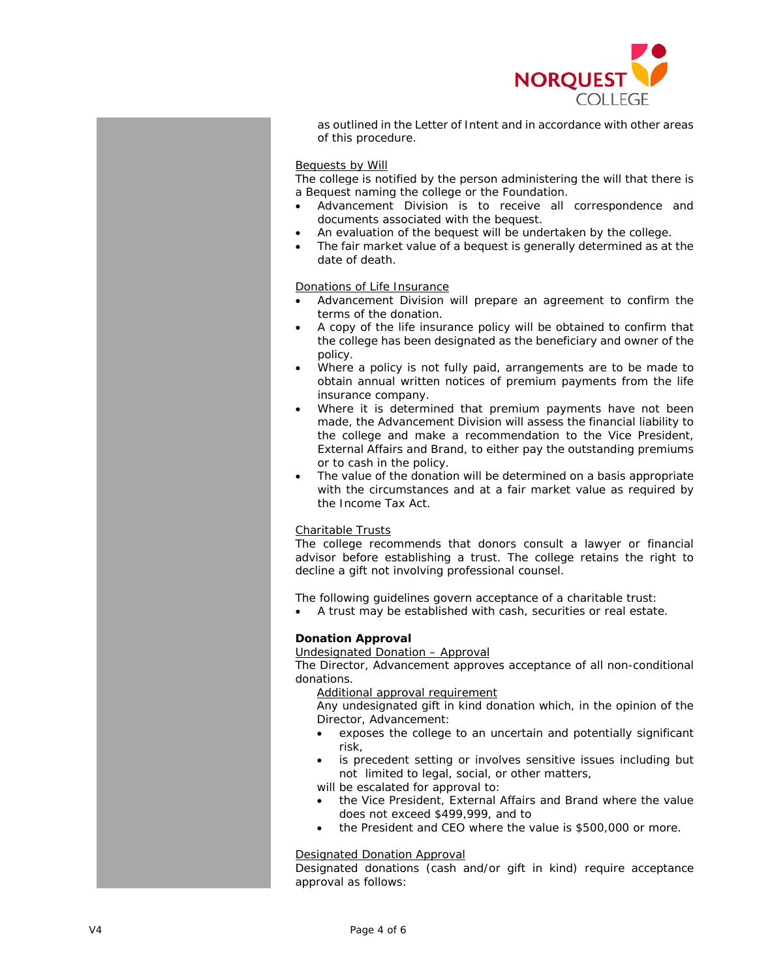

as outlined in the Letter of Intent and in accordance with other areas of this procedure.

#### Bequests by Will

The college is notified by the person administering the will that there is a Bequest naming the college or the Foundation.

- Advancement Division is to receive all correspondence and documents associated with the bequest.
- An evaluation of the bequest will be undertaken by the college.
- The fair market value of a bequest is generally determined as at the date of death.

#### Donations of Life Insurance

- Advancement Division will prepare an agreement to confirm the terms of the donation.
- A copy of the life insurance policy will be obtained to confirm that the college has been designated as the beneficiary and owner of the policy.
- Where a policy is not fully paid, arrangements are to be made to obtain annual written notices of premium payments from the life insurance company.
- Where it is determined that premium payments have not been made, the Advancement Division will assess the financial liability to the college and make a recommendation to the Vice President, External Affairs and Brand, to either pay the outstanding premiums or to cash in the policy.
- The value of the donation will be determined on a basis appropriate with the circumstances and at a fair market value as required by the Income Tax Act.

## Charitable Trusts

The college recommends that donors consult a lawyer or financial advisor before establishing a trust. The college retains the right to decline a gift not involving professional counsel.

The following guidelines govern acceptance of a charitable trust:

• A trust may be established with cash, securities or real estate.

## **Donation Approval**

#### Undesignated Donation – Approval

The Director, Advancement approves acceptance of all non-conditional donations.

#### *Additional approval requirement*

Any undesignated gift in kind donation which, in the opinion of the Director, Advancement:

- exposes the college to an uncertain and potentially significant risk,
- is precedent setting or involves sensitive issues including but not limited to legal, social, or other matters,

will be escalated for approval to:

- the Vice President, External Affairs and Brand where the value does not exceed \$499,999, and to
- the President and CEO where the value is \$500,000 or more.

## Designated Donation Approval

Designated donations (cash and/or gift in kind) require acceptance approval as follows: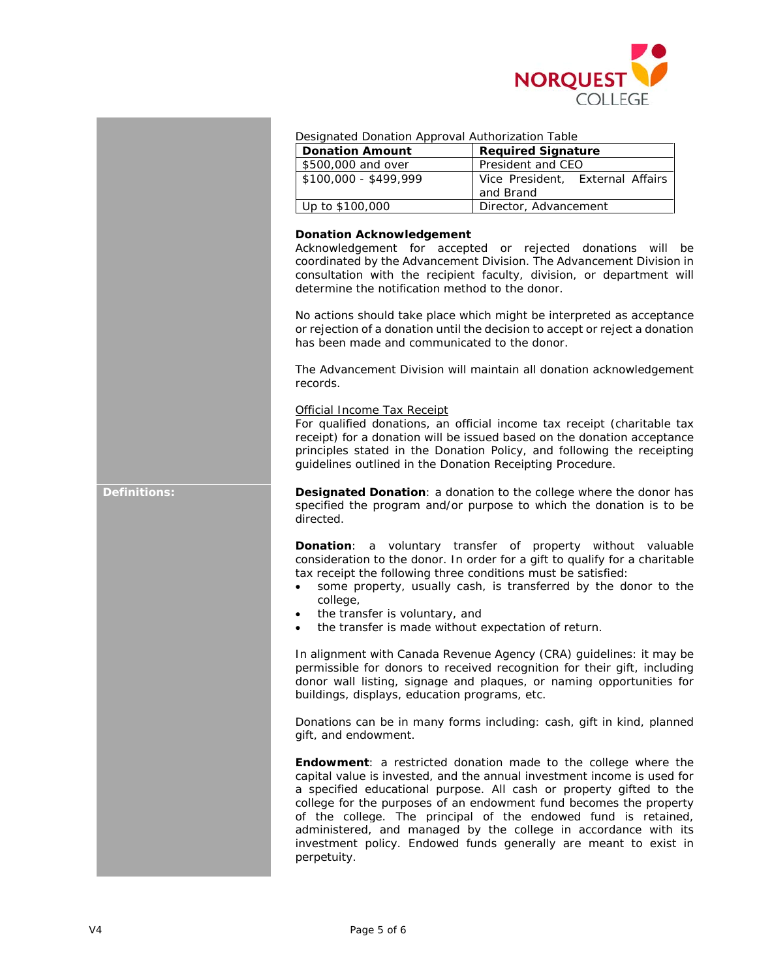

| Designated Donation Approval Authorization Table |
|--------------------------------------------------|
|--------------------------------------------------|

| <b>Donation Amount</b> | <b>Required Signature</b>                     |
|------------------------|-----------------------------------------------|
| \$500,000 and over     | President and CEO                             |
| $$100.000 - $499.999$  | Vice President, External Affairs<br>and Brand |
| Up to \$100,000        | Director, Advancement                         |

#### **Donation Acknowledgement**

Acknowledgement for accepted or rejected donations will be coordinated by the Advancement Division. The Advancement Division in consultation with the recipient faculty, division, or department will determine the notification method to the donor.

No actions should take place which might be interpreted as acceptance or rejection of a donation until the decision to accept or reject a donation has been made and communicated to the donor.

The Advancement Division will maintain all donation acknowledgement records.

#### Official Income Tax Receipt

For qualified donations, an official income tax receipt (charitable tax receipt) for a donation will be issued based on the donation acceptance principles stated in the Donation Policy, and following the receipting guidelines outlined in the Donation Receipting Procedure.

**Definitions: Designated Donation**: a donation to the college where the donor has specified the program and/or purpose to which the donation is to be directed.

> **Donation**: a voluntary transfer of property without valuable consideration to the donor. In order for a gift to qualify for a charitable tax receipt the following three conditions must be satisfied:

- some property, usually cash, is transferred by the donor to the college,
- the transfer is voluntary, and
- the transfer is made without expectation of return.

In alignment with Canada Revenue Agency (CRA) guidelines: it may be permissible for donors to received recognition for their gift, including donor wall listing, signage and plaques, or naming opportunities for buildings, displays, education programs, etc.

Donations can be in many forms including: cash, gift in kind, planned gift, and endowment.

**Endowment**: a restricted donation made to the college where the capital value is invested, and the annual investment income is used for a specified educational purpose. All cash or property gifted to the college for the purposes of an endowment fund becomes the property of the college. The principal of the endowed fund is retained, administered, and managed by the college in accordance with its investment policy. Endowed funds generally are meant to exist in perpetuity.